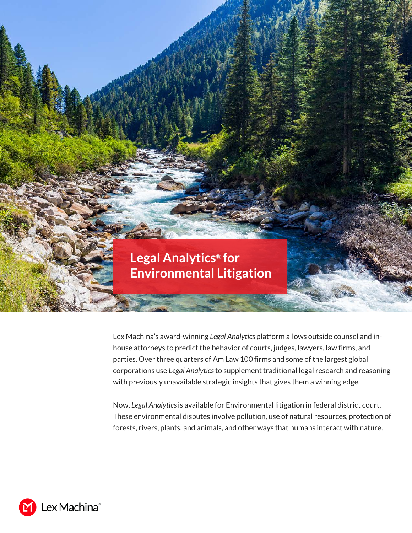## **Legal Analytics***®* **for Environmental Litigation**

Lex Machina's award-winning *Legal Analytics* platform allows outside counsel and inhouse attorneys to predict the behavior of courts, judges, lawyers, law firms, and parties. Over three quarters of Am Law 100 firms and some of the largest global corporations use *Legal Analytics* to supplement traditional legal research and reasoning with previously unavailable strategic insights that gives them a winning edge.

Now, *Legal Analytics* is available for Environmental litigation in federal district court. These environmental disputes involve pollution, use of natural resources, protection of forests, rivers, plants, and animals, and other ways that humans interact with nature.